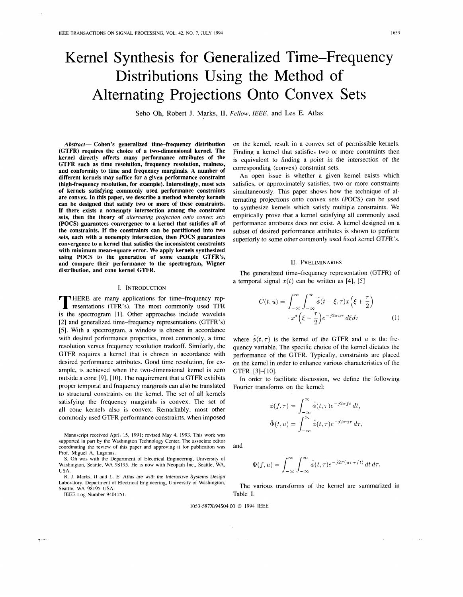# Kernel Synthesis for Generalized Time-Frequency Distributions Using the Method of Alternating Projections Onto Convex Sets

Seho Oh, Robert J. Marks, **11,** Fellow, IEEE, and Les E. Atlas

Abstract- Cohen's generalized time-frequency distribution (GTFR) requires the choice of a two-dimensional kernel. The kernel directly affects many performance attributes of the GTFR such as time resolution, frequency resolution, realness, and conformity to time and frequency marginals. A number of different kernels may suffice for a given performance constraint (high-frequency resolution, for example). Interestingly, most sets of kernels satisfying commonly used performance constraints are convex. In this paper, we describe a method whereby kernels can be designed that satisfy two or more of these constraints. If there exists a nonempty intersection among the constraint sets, then the theory of *alternating projection onto convex sets*  (POCS) guarantees convergence to a kernel that satisfies all of the constraints. If the constraints can be partitioned into two sets, each with a nonempty intersection, then POCS guarantees convergence to a kernel that satisfies the inconsistent constraints with minimum mean-square error. We apply kernels synthesized using POCS to the generation of some example GTFR's, and compare their performance to the spectrogram, Wigner distribution, and cone kernel GTFR.

#### I. INTRODUCTION

**T HERE are many applications for time-frequency rep-**<br>resentations (TFR's). The most commonly used TFR<br>is the engategram [1]. Other engageshes include woulders is the spectrogram [I]. Other approaches include wavelets [2] and generalized time-frequency representations (GTFR's) **[5].** With a spectrogram, a window is chosen in accordance with desired performance properties, most commonly, a time resolution versus frequency resolution tradeoff. Similarly, the GTFR requires a kernel that is chosen in accordance with desired performance attributes. Good time resolution, for example, is achieved when the two-dimensional kernel is zero outside a cone **[9],** [lo]. The requirement that a GTFR exhibits proper temporal and frequency marginals can also be translated to structural constraints on the kernel. The set of all kernels satisfying the frequency marginals is convex. The set of all cone kernels also is convex. Remarkably, most other commonly used GTFR performance constraints, when imposed

Manuscript received April 15, 1991; revised May 4, 1993. This work was supported in part by the Washington Technology Center. The associate editor coordinating the review of this paper and approving it for publication was Prof. Miguel A. Lagunas.

S. Oh was with the Department of Electrical Engineering, University of Washington, Seattle, WA 98195. He is now with Neopath Inc., Seattle, WA, USA.

R. J. Marks, II and L. E. Atlas are with the Interactive Systems Design Laboratory, Department of Electrical Engineering, University of Washington, Seattle, WA 98195 USA.

**IEEE Log Number 9401251.** 

 $\mathbf{T}$ 

on the kernel, result in a convex set of permissible kernels. Finding a kernel that satisfies two or more constraints then is equivalent to finding a point in the intersection of the corresponding (convex) constraint sets.

An open issue is whether a given kernel exists which satisfies, or approximately satisfies, two or more constraints simultaneously. This paper shows how the technique of alternating projections onto convex sets (POCS) can be used to synthesize kernels which satisfy multiple constraints. We empirically prove that a kernel satisfying all commonly used performance attributes does not exist. A kernel designed on a subset of desired performance attributes is shown to perform superiorly to some other commonly used fixed kernel GTFR's.

#### **11.** PRELIMINARIES

The generalized time-frequency representation (GTFR) of a temporal signal  $x(t)$  can be written as [4], [5]

$$
C(t, u) = \int_{-\infty}^{\infty} \int_{-\infty}^{\infty} \hat{\phi}(t - \xi, \tau) x \left(\xi + \frac{\tau}{2}\right)
$$

$$
\cdot x^* \left(\xi - \frac{\tau}{2}\right) e^{-j2\pi u \tau} d\xi d\tau \tag{1}
$$

where  $\hat{\phi}(t,\tau)$  is the kernel of the GTFR and u is the frequency variable. The specific choice of the kernel dictates the performance of the GTFR. Typically, constraints are placed on the kernel in order to enhance various characteristics of the GTFR [3]-[ 101.

In order to facilitate discussion, we define the following Fourier transforms on the kernel:

$$
\phi(f,\tau) = \int_{-\infty}^{\infty} \hat{\phi}(t,\tau) e^{-j2\pi ft} dt,
$$

$$
\hat{\Phi}(t,u) = \int_{-\infty}^{\infty} \hat{\phi}(t,\tau) e^{-j2\pi u \tau} d\tau,
$$

and

$$
\Phi(f, u) = \int_{-\infty}^{\infty} \int_{-\infty}^{\infty} \hat{\phi}(t, \tau) e^{-j2\pi(ut + ft)} dt d\tau.
$$

The various transforms of the kernel are summarized in Table I.

1053-587X/94\$04.00 *O* 1994 IEEE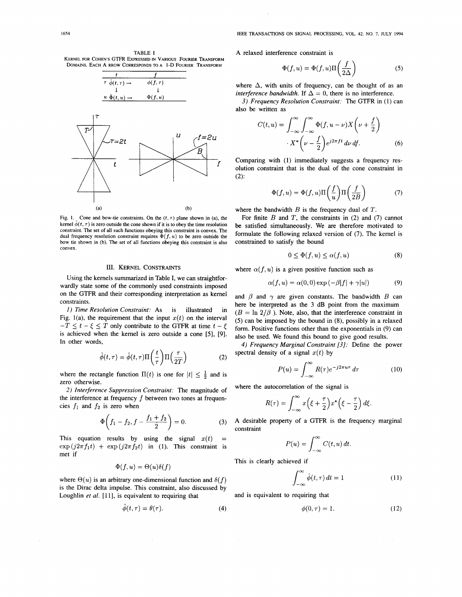**TABLE I KERNEL FOR COHEN'S GTFR EXPRESSED IN VARIOUS FOURIER TRANSFORM DOMAINS. EACH A RROW CORRESPONDS TO A I-D FOURIER TRANSFORM** 



Fig. 1. Cone and bow-tie constraints. On the  $(t, \tau)$  plane shown in (a), the kernel  $\phi(t, \tau)$  is zero outside the cone shown if it is to obey the time resolution **constraint. The set of all such functions obeying this constraint is convex. The**  dual frequency resolution constraint requires  $\Phi(f, u)$  to be zero outside the **bow tie shown in (b). The set of all functions obeying this constraint is also convex.** 

# **III. KERNEL CONSTRAINTS**

Using the kernels summarized in Table I, we can straightforwardly state some of the commonly used constraints imposed on the GTFR and their corresponding interpretation as kernel constraints.

1) *Time Resolution Constraint: As* is illustrated in Fig. 1(a), the requirement that the input  $x(t)$  on the interval  $-T \le t - \xi \le T$  only contribute to the GTFR at time  $t - \xi$ is achieved when the kernel is zero outside a cone [5], [9]. In other words,

$$
\hat{\phi}(t,\tau) = \hat{\phi}(t,\tau)\Pi\left(\frac{t}{\tau}\right)\Pi\left(\frac{\tau}{2T}\right)
$$
 (2)

where the rectangle function  $\Pi(t)$  is one for  $|t| \leq \frac{1}{2}$  and is zero otherwise.

*2) Interference Suppression Constraint:* The magnitude of the interference at frequency *f* between two tones at frequencies  $f_1$  and  $f_2$  is zero when

$$
\Phi\bigg(f_1 - f_2, f - \frac{f_1 + f_2}{2}\bigg) = 0. \tag{3}
$$

This equation results by using the signal  $x(t)$  $\exp\left(j2\pi f_1 t\right) + \exp\left(j2\pi f_2 t\right)$  in (1). This constraint is met if

$$
\Phi(f, u) = \Theta(u)\delta(f)
$$

where  $\Theta(u)$  is an arbitrary one-dimensional function and  $\delta(f)$ is the Dirac delta impulse. This constraint, also discussed by Loughlin *et al.* [11], is equivalent to requiring that

$$
\ddot{\phi}(t,\tau) = \theta(\tau). \tag{4}
$$

**A** relaxed interference constraint is

$$
\Phi(f, u) = \Phi(f, u)\Pi\left(\frac{f}{2\Delta}\right) \tag{5}
$$

where  $\Delta$ , with units of frequency, can be thought of as an *interference bandwidth.* If  $\Delta = 0$ , there is no interference.

3) *Frequency Resolution Constraint:* The GTFR in (1) can also be written as

$$
C(t, u) = \int_{-\infty}^{\infty} \int_{-\infty}^{\infty} \Phi(f, u - \nu) X\left(\nu + \frac{f}{2}\right)
$$

$$
X^* \left(\nu - \frac{f}{2}\right) e^{j2\pi ft} d\nu df.
$$
 (6)

Comparing with (1) immediately suggests a frequency resolution constraint that is the dual of the cone constraint in (2):

$$
\Phi(f, u) = \Phi(f, u) \Pi\left(\frac{f}{u}\right) \Pi\left(\frac{f}{2B}\right) \tag{7}
$$

where the bandwidth  $B$  is the frequency dual of  $T$ .

For finite  $B$  and  $T$ , the constraints in (2) and (7) cannot be satisfied simultaneously. We are therefore motivated to formulate the following relaxed version of (7). The kernel is constrained to satisfy the bound

$$
0 \le \Phi(f, u) \le \alpha(f, u) \tag{8}
$$

where  $\alpha(f, u)$  is a given positive function such as

$$
\alpha(f, u) = \alpha(0, 0) \exp(-\beta |f| + \gamma |u|)
$$
 (9)

and  $\beta$  and  $\gamma$  are given constants. The bandwidth B can here be interpreted as the **3** dB point from the maximum  $(B = \ln 2/\beta)$ . Note, also, that the interference constraint in (5) can be imposed by the bound in **(8),** possibly in a relaxed form. Positive functions other than the exponentials in (9) can also be used. We found this bound to give good results.

4) *Frequency Marginal Constraint [3]:* Define the power spectral density of a signal  $x(t)$  by

$$
P(u) = \int_{-\infty}^{\infty} R(\tau) e^{-j2\pi u \tau} d\tau
$$
 (10)

where the autocorrelation of the signal is

$$
R(\tau) = \int_{-\infty}^{\infty} x\left(\xi + \frac{\tau}{2}\right) x^* \left(\xi - \frac{\tau}{2}\right) d\xi.
$$

**A** desirable property of a GTFR is the frequency marginal constraint

$$
P(u) = \int_{-\infty}^{\infty} C(t, u) dt.
$$

This is clearly achieved if

$$
\int_{-\infty}^{\infty} \hat{\phi}(t,\tau) dt = 1 \tag{11}
$$

and is equivalent to requiring that

$$
\phi(0,\tau) = 1.\tag{12}
$$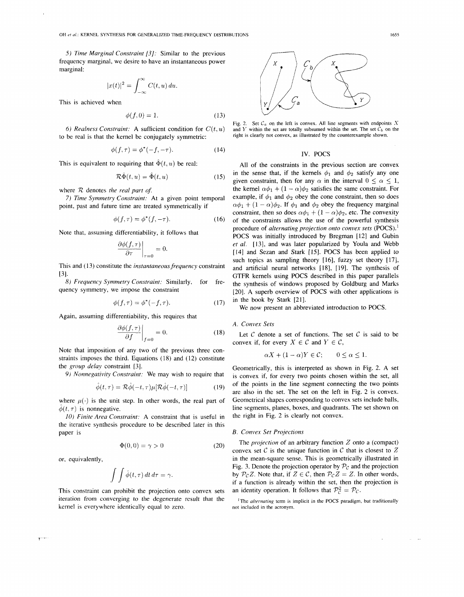*5) Time Marginal Constraint [3]:* Similar to the previous frequency marginal, we desire to have an instantaneous power marginal:

$$
|x(t)|^2 = \int_{-\infty}^{\infty} C(t, u) \, du.
$$

This is achieved when

$$
\phi(f,0) = 1. \tag{13}
$$

to be real is that the kernel be conjugately symmetric:

$$
\phi(f,\tau) = \phi^*(-f,-\tau). \tag{14}
$$

This is equivalent to requiring that  $\hat{\Phi}(t, u)$  be real: All of the constraints in the previous section are convex

$$
\mathcal{R}\hat{\Phi}(t, u) = \hat{\Phi}(t, u) \tag{15}
$$

7) *Time Symmetry Constraint:* At a given point temporal

$$
\phi(f,\tau) = \phi^*(f,-\tau). \tag{16}
$$

Note that, assuming differentiability, it follows that

$$
\left.\frac{\partial \phi(f,\tau)}{\partial \tau}\right|_{\tau=0} = 0.
$$

This and (13) constitute the *instantaneous frequency* constraint  $[3]$ .

*8) Frequency Symmetry Constraint:* Similarly, for frequency symmetry, we impose the constraint

$$
\phi(f,\tau) = \phi^*(-f,\tau). \tag{17}
$$

Again, assuming differentiability, this requires that

$$
\left. \frac{\partial \phi(f,\tau)}{\partial f} \right|_{f=0} = 0. \tag{18}
$$

Note that imposition of any two of the previous three constraints imposes the third. Equations (18) and (12) constitute the *group delay* constraint [3].

*9) Nonnegativity Constraint:* We may wish to require that

$$
\hat{\phi}(t,\tau) = \mathcal{R}\hat{\phi}(-t,\tau)\mu[\mathcal{R}\hat{\phi}(-t,\tau)] \tag{19}
$$

where  $\mu(\cdot)$  is the unit step. In other words, the real part of  $\phi(t, \tau)$  is nonnegative.

*10) Finite Area Constraint:* A constraint that is useful in the iterative synthesis procedure to be described later in this paper is

$$
\Phi(0,0) = \gamma > 0 \tag{20}
$$

$$
\int \int \hat{\phi}(t,\tau) \, dt \, d\tau = \gamma.
$$

iteration from converging to the degenerate result that the  $\frac{1}{\text{The alternating term}}$  is implicit in the POCS paradigm, but traditionally kernel is everywhere identically equal to zero. kernel is everywhere identically equal to zero.



Fig. 2. Set  $C_a$  on the left is convex. All line segments with endpoints X *6) Realness Constraint:* A sufficient condition for  $C(t, u)$  and *Y* within the set are totally subsumed within the set. The set  $\dot{C}_b$  on the real is that the kernel be conjugately summetric: right is clearly not conve

## IV. POCS

 $R\hat{\Phi}(t, u) = \hat{\Phi}(t, u)$  (15) in the sense that, if the kernels  $\phi_1$  and  $\phi_2$  satisfy any one given constraint, then for any  $\alpha$  in the interval  $0 \le \alpha \le 1$ , where *R* denotes *the real part of.* **the kernel**  $\alpha\phi_1 + (1 - \alpha)\phi_2$  satisfies the same constraint. For *7*) *Time Symmetry Constraint:* At a given point temporal example, if  $\phi_1$  and  $\phi_2$  obey the cone constraint, t point, past and future time are treated symmetrically if  $\alpha\phi_1 + (1 - \alpha)\phi_2$ . If  $\phi_1$  and  $\phi_2$  obey the frequency marginal constraint, then so does  $\alpha\phi_1 + (1 - \alpha)\phi_2$ , etc. The convexity of the constraints allows the use of the powerful synthesis procedure of *alternating projection onto convex sets* (POCS).' POCS was initially introduced by Bregman [12] and Gubin *et al.* [13], and was later popularized by Youla and Webb [14] and Sezan and Stark [15]. POCS has been applied to such topics as sampling theory [16], fuzzy set theory [17], and artificial neural networks [18], [19]. The synthesis of GTFR kernels using POCS described in this paper parallels the synthesis of windows proposed by Goldburg and Marks [20]. A superb overview of POCS with other applications is in the book by Stark [21].

We now present an abbreviated introduction to POCS.

*A. Convex Sets* 

Let  $C$  denote a set of functions. The set  $C$  is said to be convex if, for every  $X \in \mathcal{C}$  and  $Y \in \mathcal{C}$ ,

$$
\alpha X + (1 - \alpha)Y \in \mathcal{C}; \qquad 0 \le \alpha \le 1
$$

Geometrically, this is interpreted as shown in Fig. 2. A set is convex if, for every two points chosen within the set, all of the points in the line segment connecting the two points are also in the set. The set on the left in Fig. 2 is convex. Geometrical shapes corresponding to convex sets include balls, line segments, planes, boxes, and quadrants. The set shown on the right in Fig. 2 is clearly not convex.

#### *B. Convex Set Projections*

The *projection* of an arbitrary function  $Z$  onto a (compact) convex set  $C$  is the unique function in  $C$  that is closest to  $Z$ or, equivalently,<br>  $\begin{array}{ccc}\n\text{or, equivalently,} \\
\text{Fig. 3. Denote the projection operator by } \mathcal{P}_{\mathcal{C}} \text{ and the projection}\n\end{array}$  $\iint \hat{\phi}(t,\tau) dt d\tau = \gamma.$ <br>
Fig. 3. Denote the projection operator by *P<sub>C</sub>* and the projection<br>
by *P<sub>C</sub>* Z. Note that, if  $Z \in C$ , then *P<sub>C</sub>*  $Z = Z$ . In other words,<br>
if a function is already within the set, then the project *by*  $P_c Z$ *. Note that, if*  $Z \in \mathcal{C}$ , then  $P_c Z = Z$ . In other words, This constraint can prohibit the projection onto convex sets an identity operation. It follows that  $\mathcal{P}_c^2 = \mathcal{P}_c$ .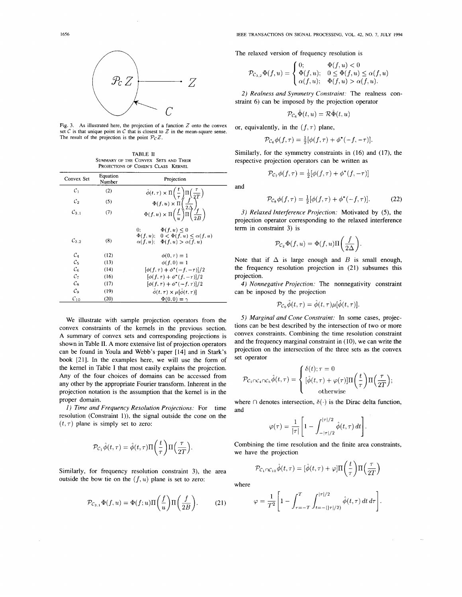

Fig. 3. As illustrated here, the projection of a function  $Z$  onto the convex set  $C$  is that unique point in  $C$  that is closest to  $Z$  in the mean-square sense. The result of the projection is the point  $P_{\mathcal{C}}Z$ .

TABLE **I1**  SUMMARY OF THE CONVEX SETS AND THEIR PROJECTIONS OF COHEN'S CLASS KERNEL

| Convex Set          | Equation<br>Number | Projection                                                                                                                                                                                                                                                                          |
|---------------------|--------------------|-------------------------------------------------------------------------------------------------------------------------------------------------------------------------------------------------------------------------------------------------------------------------------------|
| $\mathcal{C}_1$     | (2)                |                                                                                                                                                                                                                                                                                     |
| $\mathcal{C}_2$     | (5)                |                                                                                                                                                                                                                                                                                     |
| $\mathcal{C}_{3,1}$ | (7)                | $\label{eq:varphi} \begin{split} \hat{\phi}(t,\tau) \times \Pi \bigg( \frac{t}{\tau} \bigg) \Pi \bigg( \frac{\tau}{2T} \bigg) \\ \Phi(f,u) \times \Pi \bigg( \frac{f}{2\Delta} \bigg) \\ \Phi(f,u) \times \Pi \bigg( \frac{f}{u} \bigg) \Pi \bigg( \frac{f}{2B} \bigg) \end{split}$ |
| $\mathcal{C}_{3,2}$ | (8)                | 0:<br>$\Phi(f, u) \leq 0$<br>$\Phi(f, u); \quad 0 < \Phi(f, u) \leq \alpha(f, u)$<br>$\alpha(f, u)$ ; $\Phi(f, u) > \alpha(f, u)$                                                                                                                                                   |
| $\mathcal{C}_4$     | (12)               | $\phi(0,\tau)=1$                                                                                                                                                                                                                                                                    |
| $C_{5}$             | (13)               | $\phi(f, 0) = 1$                                                                                                                                                                                                                                                                    |
| $\mathcal{C}_6$     | (14)               | $[\phi(f,\tau) + \phi^*(-f,-\tau)]/2$                                                                                                                                                                                                                                               |
| $\mathcal{C}_7$     | (16)               | $[\phi(f,\tau) + \phi^*(f,-\tau)]/2$                                                                                                                                                                                                                                                |
| Ся                  | (17)               | $[\phi(f,\tau) + \phi^*(-f,\tau)]/2$                                                                                                                                                                                                                                                |
| $\mathcal{C}_{9}$   | (19)               | $\hat{\phi}(t,\tau) \times \mu[\hat{\phi}(t,\tau)]$                                                                                                                                                                                                                                 |
| $C_{10}$            | (20)               | $\Phi(0,0) = \gamma$                                                                                                                                                                                                                                                                |

We illustrate with sample projection operators from the convex constraints of the kernels in the previous section. A summary of convex sets and corresponding projections is shown in Table **11.** A more extensive list of projection operators can be found in Youla and Webb's paper [14] and in Stark's book [21]. In the examples here, we will use the form of the kernel in Table I that most easily explains the projection. Any of the four choices of domains can be accessed from any other by the appropriate Fourier transform. Inherent in the projection notation is the assumption that the kernel is in the proper domain.

1) *Time and Frequency Resolution Projections:* For time resolution (Constraint I)), the signal outside the cone on the  $(t, \tau)$  plane is simply set to zero:

$$
\mathcal{P}_{\mathcal{C}_1}\widehat{\phi}(t,\tau)=\widehat{\phi}(t,\tau)\Pi\bigg(\frac{t}{\tau}\bigg)\Pi\Big(\frac{\tau}{2T}\Big).
$$

Similarly, for frequency resolution constraint 3), the area outside the bow tie on the  $(f, u)$  plane is set to zero: where

$$
\mathcal{P}_{\mathcal{C}_{3,1}}\Phi(f,u)=\Phi(f;u)\Pi\bigg(\frac{f}{u}\bigg)\Pi\bigg(\frac{f}{2B}\bigg). \qquad (21)
$$

The relaxed version of frequency resolution is

$$
\mathcal{P}_{\mathcal{C}_{3,2}}\Phi(f,u)=\begin{cases}0; & \Phi(f,u)<0\\ \Phi(f,u); & 0\leq \Phi(f,u)\leq \alpha(f,u)\\ \alpha(f,u); & \Phi(f,u)>\alpha(f,u). \end{cases}
$$

*2) Realness and Symmetry Constraint:* The realness constraint 6) can be imposed by the projection operator

$$
\mathcal{P}_{\mathcal{C}_e} \hat{\Phi}(t, u) = \mathcal{R} \hat{\Phi}(t, u)
$$

or, equivalently, in the  $(f, \tau)$  plane,

$$
\mathcal{P}_{\mathcal{C}_6} \phi(f, \tau) = \frac{1}{2} [\phi(f, \tau) + \phi^*(-f, -\tau)].
$$

Similarly, for the symmetry constraints in (16) and (17), the respective projection operators can be written as

$$
\mathcal{P}_{\mathcal{C}_7}\phi(f,\tau)=\tfrac{1}{2}[\phi(f,\tau)+\phi^*(f,-\tau)]
$$

and

$$
\mathcal{P}_{\mathcal{C}_8} \phi(f, \tau) = \frac{1}{2} [\phi(f, \tau) + \phi^*(-f, \tau)]. \tag{22}
$$

**3)** *Relaxed Interference Projection:* Motivated by **(5),** the projection operator corresponding to the relaxed interference term in constraint 3) is

$$
\mathcal{P}_{\mathcal{C}_2}\Phi(f,u)=\Phi(f,u)\Pi\bigg(\frac{f}{2\Delta}\bigg).
$$

Note that if  $\Delta$  is large enough and  $B$  is small enough, the frequency resolution projection in (21) subsumes this projection.

*4) Nonnegative Projection:* The nonnegativity constraint can be inposed by the projection

$$
\mathcal{P}_{\mathcal{C}_n}\hat{\phi}(t,\tau) = \hat{\phi}(t,\tau)\mu[\hat{\phi}(t,\tau)]
$$

*5) Marginal and Cone Constraint:* In some cases, projections can be best described by the intersection of two or more convex constraints. Combining the time resolution constraint and the frequency marginal constraint in  $(10)$ , we can write the projection on the intersection of the three sets as the convex set operator

$$
\mathcal{P}_{\mathcal{C}_1 \cap \mathcal{C}_4 \cap \mathcal{C}_5} \hat{\phi}(t, \tau) = \begin{cases} \delta(t); \tau = 0 \\ [\hat{\phi}(t, \tau) + \varphi(\tau)] \Pi\left(\frac{t}{\tau}\right) \Pi\left(\frac{\tau}{2T}\right); \\ 0 \text{otherwise} \end{cases}
$$

where  $\cap$  denotes intersection,  $\delta(\cdot)$  is the Dirac delta function, and

$$
\varphi(\tau) = \frac{1}{|\tau|} \Bigg[ 1 - \int_{-|\tau|/2}^{|\tau|/2} \hat{\phi}(t,\tau) dt \Bigg].
$$

Combining the time resolution and the finite area constraints, we have the projection

$$
\mathcal{P}_{\mathcal{C}_1 \cap \mathcal{C}_{10}} \hat{\phi}(t, \tau) = [\hat{\phi}(t, \tau) + \varphi] \Pi\left(\frac{t}{\tau}\right) \Pi\left(\frac{\tau}{2T}\right)
$$

$$
\varphi = \frac{1}{T^2} \left[ 1 - \int_{\tau = -T}^{T} \int_{t = -\left(\left|\tau\right|/2\right)}^{\left|\tau\right|/2} \hat{\phi}(t, \tau) \, dt \, d\tau \right]
$$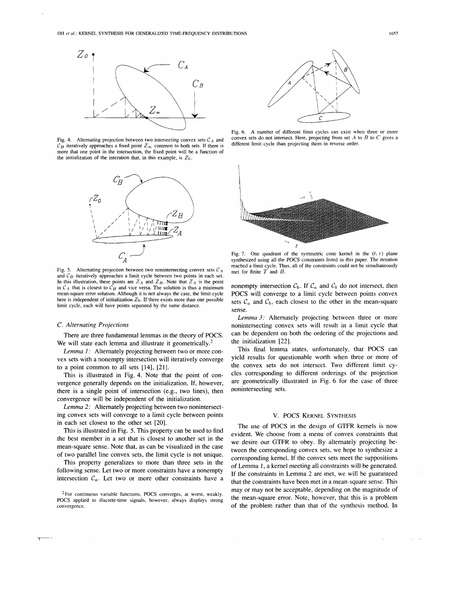

Fig. 4. Alternating projection between two intersecting convex sets  $C_A$  and convex sets do not intersect. Here, projecting from set A to  $C_A$  iteratively encreasely an expected from set and  $C_B$  iteratively encreasely an  $\mathcal{C}_B$  iteratively approaches a fixed point  $\mathcal{Z}_{\infty}$  common to both sets. If there is more that one point in the intersection, the fixed point will be a function of the initialization of the interation that, in this example, is  $Z_0$ .



Fig. 5. Alternating projection between two nonintersecting convex sets  $C_A$ and  $C_B$  iteratively approaches a limit cycle between two points in each set. In this illustration, these points are  $Z_A$  and  $Z_B$ . Note that  $Z_A$  is the point in  $C_A$  that is closest to  $C_B$  and vice versa. The solution is thus a minimum mean-square error solution. Although it is not always the case, the limit cycle here is independent of initialization  $Z_0$ . If there exists more than one possible limit cycle, each will have points separated by the same distance.

## *C. Alternating Projections*

There are three fundamental lemmas in the theory of POCS. We will state each lemma and illustrate it geometrically.<sup>2</sup>

*Lemma I:* Alternately projecting between two or more convex sets with a nonempty intersection will iteratively converge to a point common to all sets [14], [21].

This is illustrated in Fig. 4. Note that the point of convergence generally depends on the initialization. If, however, there is a single point of intersection (e.g., two lines), then convergence will be independent of the initialization.

*Lemma 2:* Alternately projecting between two nonintersecting convex sets will converge to a limit cycle between points in each set closest to the other set [20].

This is illustrated in Fig. 5. This property can be used to find the best member in a set that is closest to another set in the mean-square sense. Note that, as can be visualized in the case of two parallel line convex sets, the limit cycle is not unique.

This property generalizes to more than three sets in the following sense. Let two or more constraints have a nonempty intersection  $C_a$ . Let two or more other constraints have a

POCS applied to discrete-time signals, however, always displays strong convergence.



Fig. 6. A number of different limit cycles can exist when three or more convex sets do not intersect. Here, projecting from set  $A$  to  $B$  to  $C$  gives a



Fig. 7. One quadrant of the symmetric cone kernel in the  $(t, \tau)$  plane synthesized using all the POCS constraints listed in this paper. The iteration reached a limit cycle. Thus, all of the constraints could not be simultaneously met for finite  $T$  and  $B$ .

nonempty intersection  $C_b$ . If  $C_a$  and  $C_b$  do not intersect, then POCS will converge to a limit cycle between points convex sets  $\mathcal{C}_a$  and  $\mathcal{C}_b$ , each closest to the other in the mean-square sense.

*Lemma* 3: Alternately projecting between three or more nonintersecting convex sets will result in a limit cycle that can be dependent on both the ordering of the projections and the initialization [22].

This final lemma states, unfortunately, that POCS can yield results for questionable worth when three or more of the convex sets do not intersect. Two different limit cycles corresponding to different orderings of the projection are geometrically illustrated in Fig. 6 for the case of three nonintersecting sets.

## V. POCS KERNEL SYNTHESIS

The use of POCS in the design of GTFR kernels is now evident. We choose from a menu of convex constraints that we desire our GTFR to obey. By alternately projecting between the corresponding convex sets, we hope to synthesize a corresponding kemel. If the convex sets meet the suppositions of Lemma 1, a kernel meeting all constraints will be generated. If the constraints in Lemma 2 are met, we will be guaranteed that the constraints have been met in a mean-square sense. This <sup>2</sup> For continuous variable functions, POCS converges, at worst, weakly.<br>OCS applied to discrete time signals, however, always, displays strong. **The mean-square error.** Note, however, that this is a problem of the problem rather than that of the synthesis method. In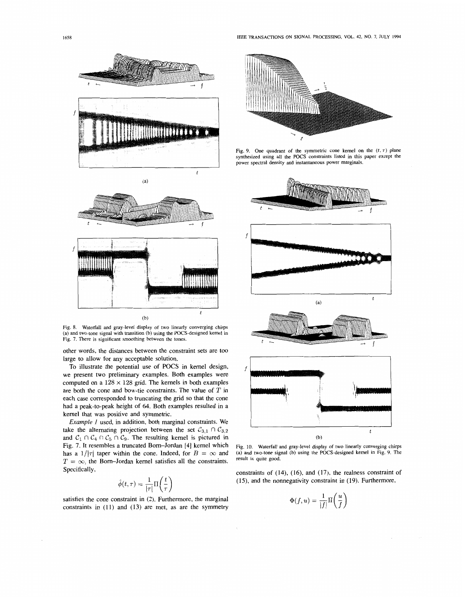



Fig. 8. Waterfall and gray-level display of two linearly converging chirps (a) and two-tone signal with transition (b) using the POCS-designed kernel in Fig. 7. There is significant smoothing between the tones.

other words, the distances between the constraint sets are too large to allow for any acceptable solution.

To illustrate the potential use of POCS in kernel design, we present two preliminary examples. Both examples were computed on a  $128 \times 128$  grid. The kernels in both examples are both the cone and bow-tie constraints. The value of  $T$  in each case corresponded to truncating the grid so that the cone had a peak-to-peak height of 64. Both examples resulted in a kernel that was positive and symmetric.

*Example* I used, in addition, both marginal constraints. We take the alternating projection between the set  $C_{3,1} \cap C_{3,2}$ and  $C_1 \cap C_4 \cap C_5 \cap C_9$ . The resulting kernel is pictured in Fig. 7. It resembles a truncated Born-Jordan [4] kernel which has a  $1/|\tau|$  taper within the cone. Indeed, for  $B = \infty$  and  $T = \infty$ , the Born-Jordan kernel satisfies all the constraints. Specifically,

$$
\hat{\phi}(t,\tau) = \frac{1}{|\tau|} \Pi\left(\frac{t}{\tau}\right)
$$

satisfies the cone constraint in (2). Furthermore, the marginal constraints in (11) and (13) are met, as are the symmetry



Fig. 9. One quadrant of the symmetric cone kernel on the  $(t, \tau)$  plane synthesized using all the POCS constraints listed in this paper except the power spectral density and instantaneous power marginals.



Fig. 10. Waterfall and gray-level display of two linearly converging chirps (a) and two-tone signal (b) using the POCS-designed kernel in Fig. 9. The result is quite good.

constraints of (14), (16), and (17), the realness constraint of (15), and the nonnegativity constraint in (19). Furthermore,

$$
\Phi(f, u) = \frac{1}{|f|} \Pi\left(\frac{u}{f}\right)
$$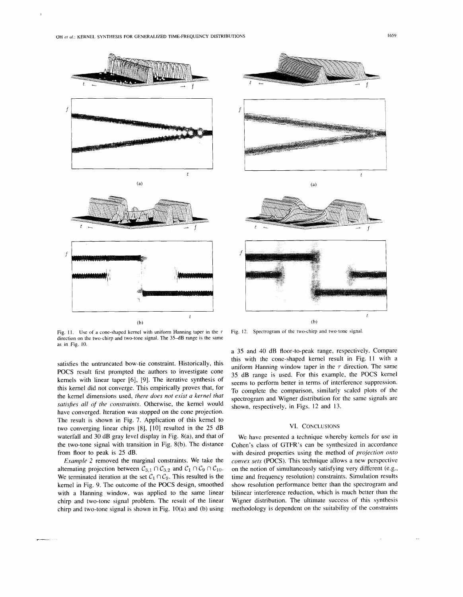

Fig. 11. Use of a cone-shaped kernel with uniform Hanning taper in the  $\tau$  Fig. 12. Spectrogram of the two-chirp and two-tone signal. direction on the two-chirp and two-tone signal. The 35-dB range is the same as in Fig. 10.

satisfies all of the constraints. Otherwise, the kernel would<br>have converged. Iteration was stopped on the cone projection. The result is shown in Fig. 7. Application of this kernel to two converging linear chips [8], [10] resulted in the 25 dB waterfall and 30 dB gray level display in Fig. 8(a), and that of the two-tone signal with transition in Fig. 8(b). The distance from floor to peak is 25 dB.

*Example* 2 removed the marginal constraints. We take the alternating projection between  $C_{3,1} \cap C_{3,2}$  and  $C_1 \cap C_9 \cap C_{10}$ . We terminated iteration at the set  $C_1 \cap C_9$ . This resulted is the kernel in Fig. 9. The outcome of the POCS design, smoothed with a Hanning window, was applied to the same linear chirp and two-tone signal problem. The result of the linear chirp and two-tone signal is shown in Fig. 10(a) and (b) using

a 35 and 40 dB floor-to-peak range, respectively. Compare this with the cone-shaped kernel result in Fig. 11 with a satisfies the untruncated bow-tie constraint. Historically, this<br>
POCS result first prompted the authors to investigate cone<br>
Results and the same is used. For this example, the POCS kernel<br>
kernels with linear taper [6], Exercision with linear taper [6], [9]. The iterative synthesis of seems to perform better in terms of interference suppression.<br>
this kernel did not converge. This empirically proves that, for  $\frac{1}{10}$  complete the comp

## VI. CONCLUSIONS

We have presented a technique whereby kernels for use in Cohen's class of GTFR's can be synthesized in accordance with desired properties using the method of *projection onto convex sets* (POCS). This technique allows a new perspective on the notion of simultaneously satisfying very different (e.g., time and frequency resolution) constraints. Simulation results show resolution performance better than the spectrogram and bilinear interference reduction, which is much better than the Wigner distribution. The ultimate success of this synthesis methodology is dependent on the suitability of the constraints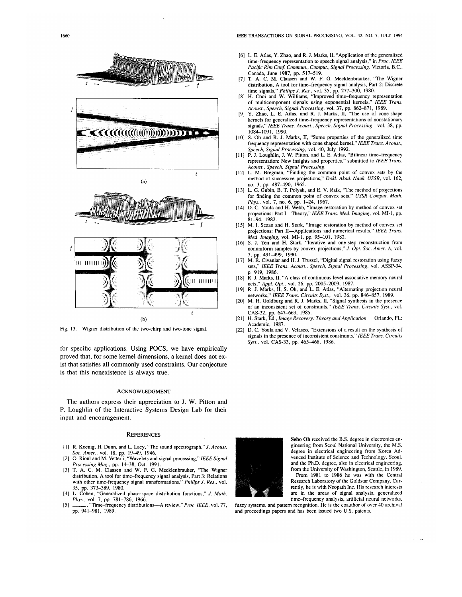



Fig. 13. Wigner distribution of the two-chirp and two-tone signal.

for specific applications. Using POCS, we have empirically proved that, for some kernel dimensions, a kernel does not exist that satisfies all commonly used constraints. Our conjecture is that this nonexistence is always true.

#### **ACKNOWLEDGMENT**

The authors express their appreciation to J. W. Pitton and P. Loughlin of the Interactive Systems Design Lab for their input and encouragement.

#### **REFERENCES**

- [1] R. Koenig, H. Dunn, and L. Lacy, "The sound spectrograph," J. Acoust.
- Soc. Amer., vol. 18, pp. 19-49, 1946.<br>
Soc. Amer., vol. 18, pp. 19-49, 1946.<br>
[2] O. Rioul and M. Vetterli, "Wavelets and signal processing," IEEE Signal<br>
Processing Mag., pp. 14-38, Oct. 1991.<br>
[3] T. A. C. M. Claasen and
- distribution, A tool for time-frequency signal analysis, Part 3: Relations with other time-frequency signal transformations," Philips J. Res., vol. 35, pp. 373-389, 1980.
- [4] L. Cohen, "Generalized phase-space distribution functions," J. Math. Phys., vol. 7, pp. 781–786, 1966.<br>
The frequency distributions—A review," Proc. IEEE, vol. 77,
- $[5]$ pp. 941-981, 1989.
- [6] L. E. Atlas, Y. Zhao, and R. J. Marks, II, "Application of the generalized time-frequency representation to speech signal analysis," in Proc. IEEE Pacific Rim Conf. Commun., Comput., Signal Processing, Victoria, B.C.,
- Canada, June 1987, pp. 517-519.<br>[7] T. A. C. M. Claasen and W. F. G. Mecklenbrauker, "The Wigner
- distribution, A tool for time-frequency signal analysis, Part 2: Discrete<br>time signals," Philips J. Res., vol. 35, pp. 277–300, 1980.<br>[8] H. Choi and W. Williams, "Improved time-frequency representation<br>of multicomponent s Acoust., Speech, Signal Processing, vol. 37, pp. 862-871, 1989.<br>[9] Y. Zhao, L. E. Atlas, and R. J. Marks, II, "The use of cone-shape
- kernels for generalized time-frequency representations of nonstationary signals," IEEE Trans. Acoust., Speech, Signal Processing, vol. 38, pp. 1084-1091, 1990.
- [10] S. Oh and R. J. Marks, II, "Some properties of the generalized time frequency representation with cone shaped kernel," IEEE Trans. Acoust., Speech, Signal Processing, vol. 40, July 1992.
- [11] P. J. Loughlin, J. W. Pitton, and L. E. Atlas, "Bilinear time-frequency<br>representation: New insights and properties," submitted to IEEE Trans. Acoust., Speech, Signal Processing.
- [12] L. M. Bregman, "Finding the common point of convex sets by the method of successive projections," Dokl. Akad. Nauk. USSR, vol. 162,
- no. 3, pp. 487-490, 1965.<br>[13] L. G. Gubin, B. T. Polyak, and E. V. Raik, "The method of projections for finding the common point of convex sets," USSR Comput. Math. Phys., vol. 7, no. 6, pp. 1–24, 1967.<br>[14] D. C. Youla and H. Webb, "Image restoration by method of convex set
- projections: Part I-Theory," IEEE Trans. Med. Imaging, vol. MI-1, pp. 81-94, 1982.
- [15] M. I. Sezan and H. Stark, "Image restoration by method of convex set projections: Part II-Applications and numerical results," IEEE Trans. Med. Imaging, vol. MI-1, pp. 95-101, 1982.<br>
[16] S. J. Yen and H. Stark, "Iterative and one-step reconstruction from
- nonuniform samples by convex projections," J. Opt. Soc. Amer. A, vol. , pp. 491–499, 1990.
- [17] M. R. Civanlar and H. J. Trussel, "Digital signal restoration using fuzzy sets," IEEE Trans. Acoust., Speech, Signal Processing, vol. ASSP-34, . 919, 1986.
- [18] R. J. Marks, II, "A class of continuous level associative memory neural nets," Appl. Opt., vol. 26, pp. 2005-2009, 1987.<br>[19] R. J. Marks, II, S. Oh, and L. E. Atlas, "Alternating projection neural
- networks," IEEE Trans. Circuits Syst., vol. 36, pp. 846–857, 1989.<br>[20] M. H. Goldburg and R. J. Marks, II, "Signal synthesis in the presence
- of an inconsistent set of constraints," IEEE Trans. Circuits Syst., vol. CAS-32, pp. 647-663, 1985.
- [21] H. Stark, Ed., Image Recovery: Theory and Application. Orlando, FL: Academic, 1987.
- [22] D. C. Youla and V. Velasco, "Extensions of a result on the synthesis of signals in the presence of inconsistent constraints," IEEE Trans. Circuits Syst., vol. CAS-33, pp. 465-468, 1986.



Seho Oh received the B.S. degree in electronics engineering from Seoul National University, the M.S. degree in electrical engineering from Korea Advenced Institute of Science and Technology, Seoul, and the Ph.D. degree, also in electrical engineering, from the University of Washington, Seattle, in 1989

From 1981 to 1986 he was with the Central Research Laboratory of the Goldstar Company. Currently, he is with Neopath Inc. His research interests are in the areas of signal analysis, generalized time-frequency analysis, artificial neural networks,

fuzzy systems, and pattern recognition. He is the coauthor of over 40 archival and proceedings papers and has been issued two U.S. patents.